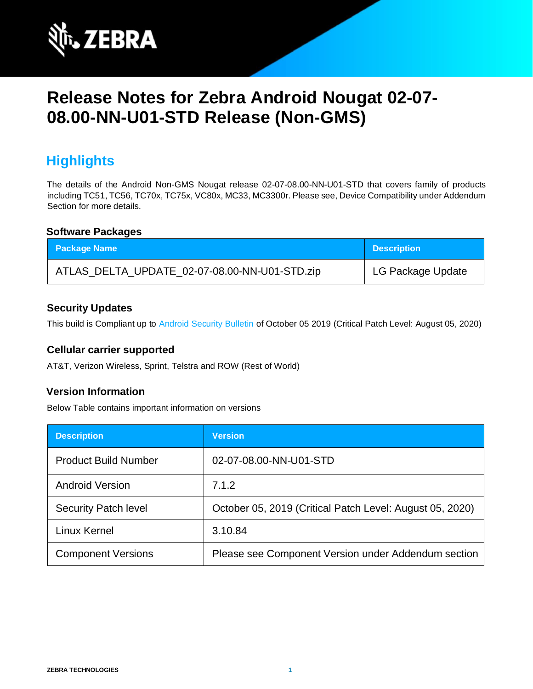

# **Release Notes for Zebra Android Nougat 02-07- 08.00-NN-U01-STD Release (Non-GMS)**

### **Highlights**

The details of the Android Non-GMS Nougat release 02-07-08.00-NN-U01-STD that covers family of products including TC51, TC56, TC70x, TC75x, VC80x, MC33, MC3300r. Please see, Device Compatibility under Addendum Section for more details.

#### **Software Packages**

| <b>Package Name</b>                           | <b>Description</b> |
|-----------------------------------------------|--------------------|
| ATLAS_DELTA_UPDATE_02-07-08.00-NN-U01-STD.zip | LG Package Update  |

#### **Security Updates**

This build is Compliant up to [Android Security Bulletin](https://source.android.com/security/bulletin/) of October 05 2019 (Critical Patch Level: August 05, 2020)

#### **Cellular carrier supported**

AT&T, Verizon Wireless, Sprint, Telstra and ROW (Rest of World)

#### **Version Information**

Below Table contains important information on versions

| <b>Description</b>          | <b>Version</b>                                           |
|-----------------------------|----------------------------------------------------------|
| <b>Product Build Number</b> | 02-07-08.00-NN-U01-STD                                   |
| <b>Android Version</b>      | 7.1.2                                                    |
| <b>Security Patch level</b> | October 05, 2019 (Critical Patch Level: August 05, 2020) |
| Linux Kernel                | 3.10.84                                                  |
| <b>Component Versions</b>   | Please see Component Version under Addendum section      |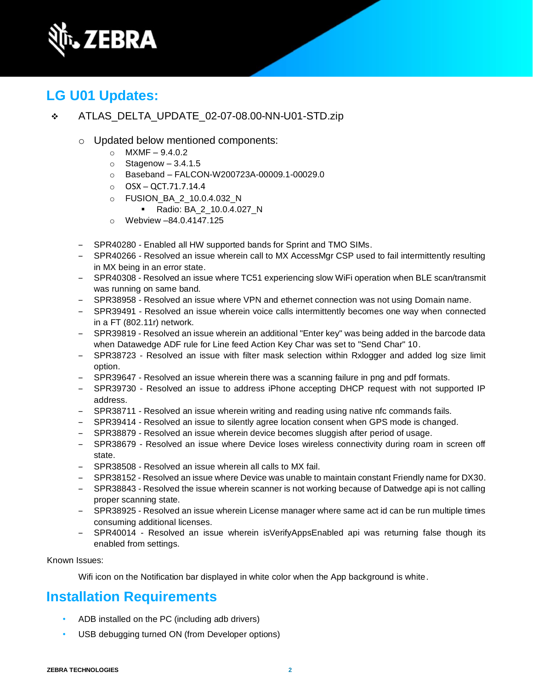

# **LG U01 Updates:**

- ❖ ATLAS\_DELTA\_UPDATE\_02-07-08.00-NN-U01-STD.zip
	- o Updated below mentioned components:
		- $O$  MXMF 9.4.0.2
		- $\circ$  Stagenow 3.4.1.5
		- o Baseband FALCON-W200723A-00009.1-00029.0
		- $O$  OSX OCT.71.7.14.4
		- o FUSION\_BA\_2\_10.0.4.032\_N
			- Radio: BA\_2\_10.0.4.027\_N
		- o Webview –84.0.4147.125
	- SPR40280 Enabled all HW supported bands for Sprint and TMO SIMs.
	- ‒ SPR40266 Resolved an issue wherein call to MX AccessMgr CSP used to fail intermittently resulting in MX being in an error state.
	- ‒ SPR40308 Resolved an issue where TC51 experiencing slow WiFi operation when BLE scan/transmit was running on same band.
	- ‒ SPR38958 Resolved an issue where VPN and ethernet connection was not using Domain name.
	- ‒ SPR39491 Resolved an issue wherein voice calls intermittently becomes one way when connected in a FT (802.11r) network.
	- SPR39819 Resolved an issue wherein an additional "Enter key" was being added in the barcode data when Datawedge ADF rule for Line feed Action Key Char was set to "Send Char" 10.
	- ‒ SPR38723 Resolved an issue with filter mask selection within Rxlogger and added log size limit option.
	- ‒ SPR39647 Resolved an issue wherein there was a scanning failure in png and pdf formats.
	- ‒ SPR39730 Resolved an issue to address iPhone accepting DHCP request with not supported IP address.
	- ‒ SPR38711 Resolved an issue wherein writing and reading using native nfc commands fails.
	- ‒ SPR39414 Resolved an issue to silently agree location consent when GPS mode is changed.
	- ‒ SPR38879 Resolved an issue wherein device becomes sluggish after period of usage.
	- SPR38679 Resolved an issue where Device loses wireless connectivity during roam in screen off state.
	- ‒ SPR38508 Resolved an issue wherein all calls to MX fail.
	- ‒ SPR38152 Resolved an issue where Device was unable to maintain constant Friendly name for DX30.
	- ‒ SPR38843 Resolved the issue wherein scanner is not working because of Datwedge api is not calling proper scanning state.
	- ‒ SPR38925 Resolved an issue wherein License manager where same act id can be run multiple times consuming additional licenses.
	- SPR40014 Resolved an issue wherein isVerifyAppsEnabled api was returning false though its enabled from settings.

Known Issues:

Wifi icon on the Notification bar displayed in white color when the App background is white.

# **Installation Requirements**

- ADB installed on the PC (including adb drivers)
- USB debugging turned ON (from Developer options)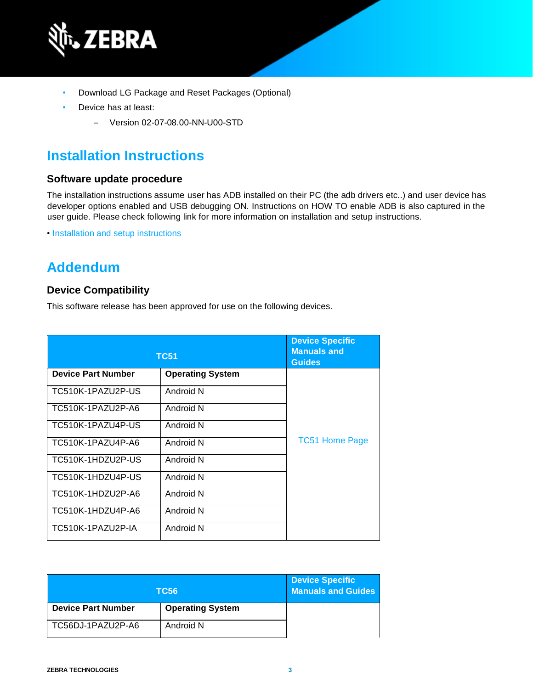

- Download LG Package and Reset Packages (Optional)
- Device has at least:
	- ‒ Version 02-07-08.00-NN-U00-STD

### **Installation Instructions**

#### **Software update procedure**

The installation instructions assume user has ADB installed on their PC (the adb drivers etc..) and user device has developer options enabled and USB debugging ON. Instructions on HOW TO enable ADB is also captured in the user guide. Please check following link for more information on installation and setup instructions.

• [Installation and setup instructions](https://www.zebra.com/content/dam/zebra_new_ia/en-us/software/operating-system/tc5x-tc7x-shared-operating-system/atlas_oreo-os-update-instructions.pdf)

### **Addendum**

#### **Device Compatibility**

This software release has been approved for use on the following devices.

| <b>TC51</b>               | <b>Device Specific</b><br><b>Manuals and</b><br><b>Guides</b> |                       |
|---------------------------|---------------------------------------------------------------|-----------------------|
| <b>Device Part Number</b> | <b>Operating System</b>                                       |                       |
| TC510K-1PAZU2P-US         | Android N                                                     |                       |
| TC510K-1PAZU2P-A6         | Android N                                                     |                       |
| TC510K-1PAZU4P-US         | Android N                                                     |                       |
| TC510K-1PAZU4P-A6         | Android N                                                     | <b>TC51 Home Page</b> |
| TC510K-1HDZU2P-US         | Android N                                                     |                       |
| TC510K-1HDZU4P-US         | Android N                                                     |                       |
| TC510K-1HDZU2P-A6         | Android N                                                     |                       |
| TC510K-1HDZU4P-A6         | Android N                                                     |                       |
| TC510K-1PAZU2P-IA         | Android N                                                     |                       |

|                           | TC56                    | <b>Device Specific</b><br><b>Manuals and Guides</b> |
|---------------------------|-------------------------|-----------------------------------------------------|
| <b>Device Part Number</b> | <b>Operating System</b> |                                                     |
| TC56DJ-1PAZU2P-A6         | Android N               |                                                     |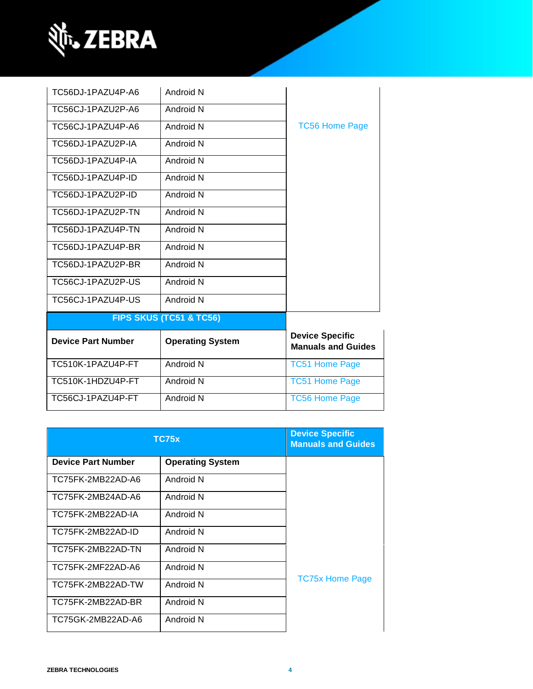

| TC56DJ-1PAZU4P-A6         | Android N                          |                                                     |
|---------------------------|------------------------------------|-----------------------------------------------------|
| TC56CJ-1PAZU2P-A6         | Android N                          |                                                     |
| TC56CJ-1PAZU4P-A6         | Android N                          | <b>TC56 Home Page</b>                               |
| TC56DJ-1PAZU2P-IA         | Android N                          |                                                     |
| TC56DJ-1PAZU4P-IA         | Android N                          |                                                     |
| TC56DJ-1PAZU4P-ID         | Android N                          |                                                     |
| TC56DJ-1PAZU2P-ID         | Android N                          |                                                     |
| TC56DJ-1PAZU2P-TN         | Android N                          |                                                     |
| TC56DJ-1PAZU4P-TN         | Android N                          |                                                     |
| TC56DJ-1PAZU4P-BR         | Android N                          |                                                     |
| TC56DJ-1PAZU2P-BR         | Android N                          |                                                     |
| TC56CJ-1PAZU2P-US         | Android N                          |                                                     |
| TC56CJ-1PAZU4P-US         | Android N                          |                                                     |
|                           | <b>FIPS SKUS (TC51 &amp; TC56)</b> |                                                     |
| <b>Device Part Number</b> | <b>Operating System</b>            | <b>Device Specific</b><br><b>Manuals and Guides</b> |
| TC510K-1PAZU4P-FT         | Android N                          | <b>TC51 Home Page</b>                               |
| TC510K-1HDZU4P-FT         | Android N                          | <b>TC51 Home Page</b>                               |
| TC56CJ-1PAZU4P-FT         | Android N                          | <b>TC56 Home Page</b>                               |

| <b>TC75x</b>              | <b>Device Specific</b><br><b>Manuals and Guides</b> |                        |
|---------------------------|-----------------------------------------------------|------------------------|
| <b>Device Part Number</b> | <b>Operating System</b>                             |                        |
| TC75FK-2MB22AD-A6         | Android N                                           |                        |
| TC75FK-2MB24AD-A6         | Android N                                           |                        |
| TC75FK-2MB22AD-IA         | Android N                                           |                        |
| TC75FK-2MB22AD-ID         | Android N                                           |                        |
| TC75FK-2MB22AD-TN         | Android N                                           |                        |
| TC75FK-2MF22AD-A6         | Android N                                           |                        |
| TC75FK-2MB22AD-TW         | Android N                                           | <b>TC75x Home Page</b> |
| TC75FK-2MB22AD-BR         | Android N                                           |                        |
| TC75GK-2MB22AD-A6         | Android N                                           |                        |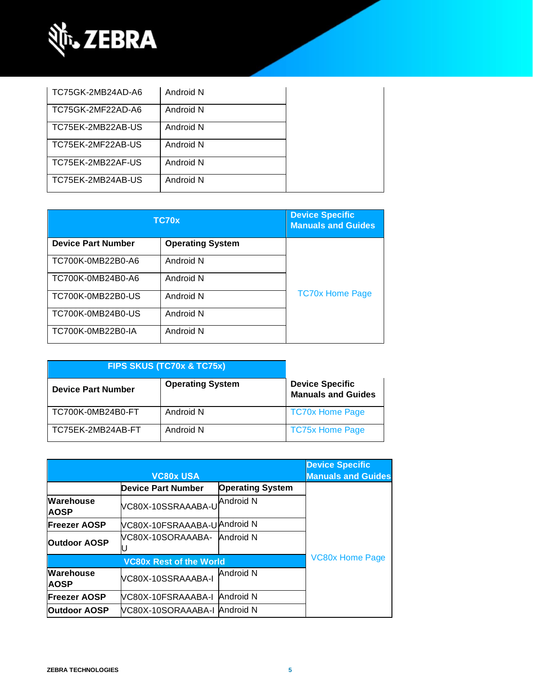

| TC75GK-2MB24AD-A6 | Android N |  |
|-------------------|-----------|--|
| TC75GK-2MF22AD-A6 | Android N |  |
| TC75EK-2MB22AB-US | Android N |  |
| TC75EK-2MF22AB-US | Android N |  |
| TC75EK-2MB22AF-US | Android N |  |
| TC75EK-2MB24AB-US | Android N |  |

| TC70x                     | <b>Device Specific</b><br><b>Manuals and Guides</b> |                        |
|---------------------------|-----------------------------------------------------|------------------------|
| <b>Device Part Number</b> | <b>Operating System</b>                             |                        |
| TC700K-0MB22B0-A6         | Android N                                           |                        |
| TC700K-0MB24B0-A6         | Android N                                           |                        |
| TC700K-0MB22B0-US         | Android N                                           | <b>TC70x Home Page</b> |
| TC700K-0MB24B0-US         | Android N                                           |                        |
| TC700K-0MB22B0-IA         | Android N                                           |                        |

| FIPS SKUS (TC70x & TC75x) |                         |                                                     |
|---------------------------|-------------------------|-----------------------------------------------------|
| <b>Device Part Number</b> | <b>Operating System</b> | <b>Device Specific</b><br><b>Manuals and Guides</b> |
| TC700K-0MB24B0-FT         | Android N               | <b>TC70x Home Page</b>                              |
| TC75EK-2MB24AB-FT         | Android N               | <b>TC75x Home Page</b>                              |

|                                 | <b>VC80x USA</b>               |                         | <b>Device Specific</b><br><b>Manuals and Guides</b> |
|---------------------------------|--------------------------------|-------------------------|-----------------------------------------------------|
|                                 | Device Part Number             | <b>Operating System</b> |                                                     |
| <b>Warehouse</b><br><b>AOSP</b> | VC80X-10SSRAAABA-U             | <b>Android N</b>        |                                                     |
| <b>Freezer AOSP</b>             | VC80X-10FSRAAABA-UAndroid N    |                         |                                                     |
| <b>Outdoor AOSP</b>             | VC80X-10SORAAABA-              | Android N               |                                                     |
|                                 | <b>VC80x Rest of the World</b> |                         | <b>VC80x Home Page</b>                              |
| Warehouse<br><b>AOSP</b>        | VC80X-10SSRAAABA-I             | Android N               |                                                     |
| <b>Freezer AOSP</b>             | VC80X-10FSRAAABA-I             | Android N               |                                                     |
| <b>Outdoor AOSP</b>             | VC80X-10SORAAABA-I Android N   |                         |                                                     |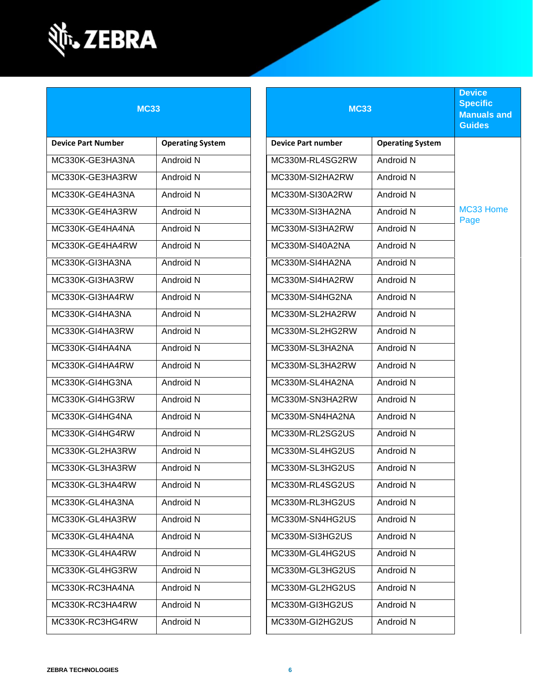

| <b>MC33</b>               |                         | <b>MC33</b>               |                         | <b>Device</b><br><b>Specific</b><br><b>Manuals and</b><br><b>Guides</b> |
|---------------------------|-------------------------|---------------------------|-------------------------|-------------------------------------------------------------------------|
| <b>Device Part Number</b> | <b>Operating System</b> | <b>Device Part number</b> | <b>Operating System</b> |                                                                         |
| MC330K-GE3HA3NA           | Android N               | MC330M-RL4SG2RW           | Android N               |                                                                         |
| MC330K-GE3HA3RW           | Android N               | MC330M-SI2HA2RW           | Android N               |                                                                         |
| MC330K-GE4HA3NA           | Android N               | MC330M-SI30A2RW           | Android N               |                                                                         |
| MC330K-GE4HA3RW           | Android N               | MC330M-SI3HA2NA           | Android N               | MC33 Home<br>Page                                                       |
| MC330K-GE4HA4NA           | Android N               | MC330M-SI3HA2RW           | Android N               |                                                                         |
| MC330K-GE4HA4RW           | Android N               | MC330M-SI40A2NA           | Android N               |                                                                         |
| MC330K-GI3HA3NA           | Android N               | MC330M-SI4HA2NA           | Android N               |                                                                         |
| MC330K-GI3HA3RW           | Android N               | MC330M-SI4HA2RW           | Android N               |                                                                         |
| MC330K-GI3HA4RW           | Android N               | MC330M-SI4HG2NA           | Android N               |                                                                         |
| MC330K-GI4HA3NA           | Android N               | MC330M-SL2HA2RW           | Android N               |                                                                         |
| MC330K-GI4HA3RW           | Android N               | MC330M-SL2HG2RW           | Android N               |                                                                         |
| MC330K-GI4HA4NA           | Android N               | MC330M-SL3HA2NA           | Android N               |                                                                         |
| MC330K-GI4HA4RW           | Android N               | MC330M-SL3HA2RW           | Android N               |                                                                         |
| MC330K-GI4HG3NA           | Android N               | MC330M-SL4HA2NA           | Android N               |                                                                         |
| MC330K-GI4HG3RW           | Android N               | MC330M-SN3HA2RW           | Android N               |                                                                         |
| MC330K-GI4HG4NA           | Android N               | MC330M-SN4HA2NA           | Android N               |                                                                         |
| MC330K-GI4HG4RW           | Android N               | MC330M-RL2SG2US           | Android N               |                                                                         |
| MC330K-GL2HA3RW           | Android N               | MC330M-SL4HG2US           | Android N               |                                                                         |
| MC330K-GL3HA3RW           | Android N               | MC330M-SL3HG2US           | Android N               |                                                                         |
| MC330K-GL3HA4RW           | Android N               | MC330M-RL4SG2US           | Android N               |                                                                         |
| MC330K-GL4HA3NA           | Android N               | MC330M-RL3HG2US           | Android N               |                                                                         |
| MC330K-GL4HA3RW           | Android N               | MC330M-SN4HG2US           | Android N               |                                                                         |
| MC330K-GL4HA4NA           | Android N               | MC330M-SI3HG2US           | Android N               |                                                                         |
| MC330K-GL4HA4RW           | Android N               | MC330M-GL4HG2US           | Android N               |                                                                         |
| MC330K-GL4HG3RW           | Android N               | MC330M-GL3HG2US           | Android N               |                                                                         |
| MC330K-RC3HA4NA           | Android N               | MC330M-GL2HG2US           | Android N               |                                                                         |
| MC330K-RC3HA4RW           | Android N               | MC330M-GI3HG2US           | Android N               |                                                                         |
| MC330K-RC3HG4RW           | Android N               | MC330M-GI2HG2US           | Android N               |                                                                         |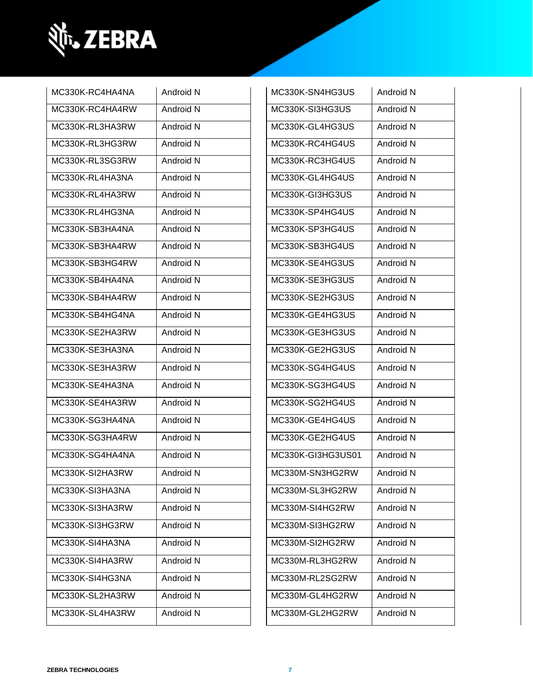

| MC330K-RC4HA4NA | Android N | MC330K-SN4HG3US   | Android N |
|-----------------|-----------|-------------------|-----------|
| MC330K-RC4HA4RW | Android N | MC330K-SI3HG3US   | Android N |
| MC330K-RL3HA3RW | Android N | MC330K-GL4HG3US   | Android N |
| MC330K-RL3HG3RW | Android N | MC330K-RC4HG4US   | Android N |
| MC330K-RL3SG3RW | Android N | MC330K-RC3HG4US   | Android N |
| MC330K-RL4HA3NA | Android N | MC330K-GL4HG4US   | Android N |
| MC330K-RL4HA3RW | Android N | MC330K-GI3HG3US   | Android N |
| MC330K-RL4HG3NA | Android N | MC330K-SP4HG4US   | Android N |
| MC330K-SB3HA4NA | Android N | MC330K-SP3HG4US   | Android N |
| MC330K-SB3HA4RW | Android N | MC330K-SB3HG4US   | Android N |
| MC330K-SB3HG4RW | Android N | MC330K-SE4HG3US   | Android N |
| MC330K-SB4HA4NA | Android N | MC330K-SE3HG3US   | Android N |
| MC330K-SB4HA4RW | Android N | MC330K-SE2HG3US   | Android N |
| MC330K-SB4HG4NA | Android N | MC330K-GE4HG3US   | Android N |
| MC330K-SE2HA3RW | Android N | MC330K-GE3HG3US   | Android N |
| MC330K-SE3HA3NA | Android N | MC330K-GE2HG3US   | Android N |
| MC330K-SE3HA3RW | Android N | MC330K-SG4HG4US   | Android N |
| MC330K-SE4HA3NA | Android N | MC330K-SG3HG4US   | Android N |
| MC330K-SE4HA3RW | Android N | MC330K-SG2HG4US   | Android N |
| MC330K-SG3HA4NA | Android N | MC330K-GE4HG4US   | Android N |
| MC330K-SG3HA4RW | Android N | MC330K-GE2HG4US   | Android N |
| MC330K-SG4HA4NA | Android N | MC330K-GI3HG3US01 | Android N |
| MC330K-SI2HA3RW | Android N | MC330M-SN3HG2RW   | Android N |
| MC330K-SI3HA3NA | Android N | MC330M-SL3HG2RW   | Android N |
| MC330K-SI3HA3RW | Android N | MC330M-SI4HG2RW   | Android N |
| MC330K-SI3HG3RW | Android N | MC330M-SI3HG2RW   | Android N |
| MC330K-SI4HA3NA | Android N | MC330M-SI2HG2RW   | Android N |
| MC330K-SI4HA3RW | Android N | MC330M-RL3HG2RW   | Android N |
| MC330K-SI4HG3NA | Android N | MC330M-RL2SG2RW   | Android N |
| MC330K-SL2HA3RW | Android N | MC330M-GL4HG2RW   | Android N |
| MC330K-SL4HA3RW | Android N | MC330M-GL2HG2RW   | Android N |
|                 |           |                   |           |

| MC330K-SN4HG3US   | Android N |
|-------------------|-----------|
| MC330K-SI3HG3US   | Android N |
| MC330K-GL4HG3US   | Android N |
| MC330K-RC4HG4US   | Android N |
| MC330K-RC3HG4US   | Android N |
| MC330K-GL4HG4US   | Android N |
| MC330K-GI3HG3US   | Android N |
| MC330K-SP4HG4US   | Android N |
| MC330K-SP3HG4US   | Android N |
| MC330K-SB3HG4US   | Android N |
| MC330K-SE4HG3US   | Android N |
| MC330K-SE3HG3US   | Android N |
| MC330K-SE2HG3US   | Android N |
| MC330K-GE4HG3US   | Android N |
| MC330K-GE3HG3US   | Android N |
| MC330K-GE2HG3US   | Android N |
| MC330K-SG4HG4US   | Android N |
| MC330K-SG3HG4US   | Android N |
| MC330K-SG2HG4US   | Android N |
| MC330K-GE4HG4US   | Android N |
| MC330K-GE2HG4US   | Android N |
| MC330K-GI3HG3US01 | Android N |
| MC330M-SN3HG2RW   | Android N |
| MC330M-SL3HG2RW   | Android N |
| MC330M-SI4HG2RW   | Android N |
| MC330M-SI3HG2RW   | Android N |
| MC330M-SI2HG2RW   | Android N |
| MC330M-RL3HG2RW   | Android N |
| MC330M-RL2SG2RW   | Android N |
| MC330M-GL4HG2RW   | Android N |
| MC330M-GL2HG2RW   | Android N |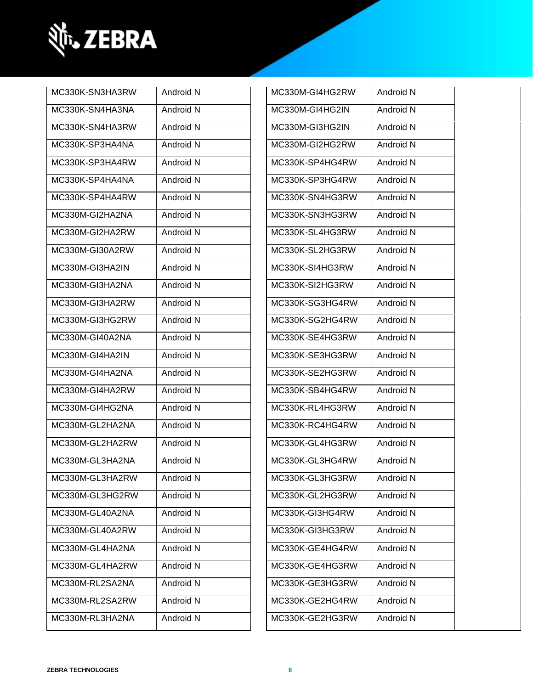

| MC330K-SN3HA3RW | Android N | MC330M-GI4HG2RW | Android N |
|-----------------|-----------|-----------------|-----------|
| MC330K-SN4HA3NA | Android N | MC330M-GI4HG2IN | Android N |
| MC330K-SN4HA3RW | Android N | MC330M-GI3HG2IN | Android N |
| MC330K-SP3HA4NA | Android N | MC330M-GI2HG2RW | Android N |
| MC330K-SP3HA4RW | Android N | MC330K-SP4HG4RW | Android N |
| MC330K-SP4HA4NA | Android N | MC330K-SP3HG4RW | Android N |
| MC330K-SP4HA4RW | Android N | MC330K-SN4HG3RW | Android N |
| MC330M-GI2HA2NA | Android N | MC330K-SN3HG3RW | Android N |
| MC330M-GI2HA2RW | Android N | MC330K-SL4HG3RW | Android N |
| MC330M-GI30A2RW | Android N | MC330K-SL2HG3RW | Android N |
| MC330M-GI3HA2IN | Android N | MC330K-SI4HG3RW | Android N |
| MC330M-GI3HA2NA | Android N | MC330K-SI2HG3RW | Android N |
| MC330M-GI3HA2RW | Android N | MC330K-SG3HG4RW | Android N |
| MC330M-GI3HG2RW | Android N | MC330K-SG2HG4RW | Android N |
| MC330M-GI40A2NA | Android N | MC330K-SE4HG3RW | Android N |
| MC330M-GI4HA2IN | Android N | MC330K-SE3HG3RW | Android N |
| MC330M-GI4HA2NA | Android N | MC330K-SE2HG3RW | Android N |
| MC330M-GI4HA2RW | Android N | MC330K-SB4HG4RW | Android N |
| MC330M-GI4HG2NA | Android N | MC330K-RL4HG3RW | Android N |
| MC330M-GL2HA2NA | Android N | MC330K-RC4HG4RW | Android N |
| MC330M-GL2HA2RW | Android N | MC330K-GL4HG3RW | Android N |
| MC330M-GL3HA2NA | Android N | MC330K-GL3HG4RW | Android N |
| MC330M-GL3HA2RW | Android N | MC330K-GL3HG3RW | Android N |
| MC330M-GL3HG2RW | Android N | MC330K-GL2HG3RW | Android N |
| MC330M-GL40A2NA | Android N | MC330K-GI3HG4RW | Android N |
| MC330M-GL40A2RW | Android N | MC330K-GI3HG3RW | Android N |
| MC330M-GL4HA2NA | Android N | MC330K-GE4HG4RW | Android N |
| MC330M-GL4HA2RW | Android N | MC330K-GE4HG3RW | Android N |
| MC330M-RL2SA2NA | Android N | MC330K-GE3HG3RW | Android N |
| MC330M-RL2SA2RW | Android N | MC330K-GE2HG4RW | Android N |
| MC330M-RL3HA2NA | Android N | MC330K-GE2HG3RW | Android N |
|                 |           |                 |           |

| MC330M-GI4HG2RW | Android N        |
|-----------------|------------------|
| MC330M-GI4HG2IN | <b>Android N</b> |
| MC330M-GI3HG2IN | Android N        |
| MC330M-GI2HG2RW | Android N        |
| MC330K-SP4HG4RW | <b>Android N</b> |
| MC330K-SP3HG4RW | Android N        |
| MC330K-SN4HG3RW | Android N        |
| MC330K-SN3HG3RW | Android N        |
| MC330K-SL4HG3RW | Android N        |
| MC330K-SL2HG3RW | Android N        |
| MC330K-SI4HG3RW | Android N        |
| MC330K-SI2HG3RW | Android N        |
| MC330K-SG3HG4RW | Android N        |
| MC330K-SG2HG4RW | Android N        |
| MC330K-SE4HG3RW | Android N        |
| MC330K-SE3HG3RW | Android N        |
| MC330K-SE2HG3RW | Android N        |
| MC330K-SB4HG4RW | Android N        |
| MC330K-RL4HG3RW | Android N        |
| MC330K-RC4HG4RW | Android N        |
| MC330K-GL4HG3RW | Android N        |
| MC330K-GL3HG4RW | Android N        |
| MC330K-GL3HG3RW | Android N        |
| MC330K-GL2HG3RW | Android N        |
| MC330K-GI3HG4RW | Android N        |
| MC330K-GI3HG3RW | Android N        |
| MC330K-GE4HG4RW | Android N        |
| MC330K-GE4HG3RW | Android N        |
| MC330K-GE3HG3RW | Android N        |
| MC330K-GE2HG4RW | Android N        |
| MC330K-GE2HG3RW | Android N        |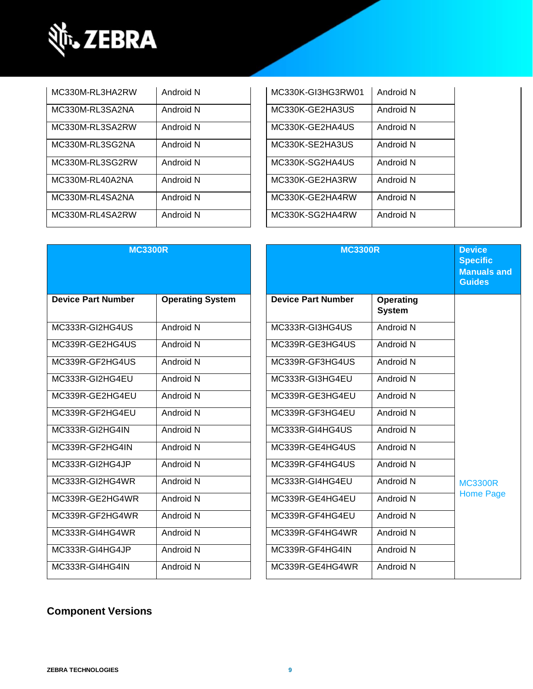

| MC330M-RL3HA2RW | Android N | MC330K-GI3HG3RW01 | Android N |
|-----------------|-----------|-------------------|-----------|
| MC330M-RL3SA2NA | Android N | MC330K-GE2HA3US   | Android N |
| MC330M-RL3SA2RW | Android N | MC330K-GE2HA4US   | Android N |
| MC330M-RL3SG2NA | Android N | MC330K-SE2HA3US   | Android N |
| MC330M-RL3SG2RW | Android N | MC330K-SG2HA4US   | Android N |
| MC330M-RL40A2NA | Android N | MC330K-GE2HA3RW   | Android N |
| MC330M-RL4SA2NA | Android N | MC330K-GE2HA4RW   | Android N |
| MC330M-RL4SA2RW | Android N | MC330K-SG2HA4RW   | Android N |

| MC330K-GI3HG3RW01 | Android N |  |
|-------------------|-----------|--|
| MC330K-GE2HA3US   | Android N |  |
| MC330K-GE2HA4US   | Android N |  |
| MC330K-SE2HA3US   | Android N |  |
| MC330K-SG2HA4US   | Android N |  |
| MC330K-GE2HA3RW   | Android N |  |
| MC330K-GE2HA4RW   | Android N |  |
| MC330K-SG2HA4RW   | Android N |  |

| <b>MC3300R</b>            |                         | <b>MC3300R</b>            |                                   | <b>Device</b><br><b>Specific</b><br><b>Manuals and</b><br><b>Guides</b> |
|---------------------------|-------------------------|---------------------------|-----------------------------------|-------------------------------------------------------------------------|
| <b>Device Part Number</b> | <b>Operating System</b> | <b>Device Part Number</b> | <b>Operating</b><br><b>System</b> |                                                                         |
| MC333R-GI2HG4US           | Android N               | MC333R-GI3HG4US           | Android N                         |                                                                         |
| MC339R-GE2HG4US           | Android N               | MC339R-GE3HG4US           | Android N                         |                                                                         |
| MC339R-GF2HG4US           | Android N               | MC339R-GF3HG4US           | Android N                         |                                                                         |
| MC333R-GI2HG4EU           | Android N               | MC333R-GI3HG4EU           | Android N                         |                                                                         |
| MC339R-GE2HG4EU           | Android N               | MC339R-GE3HG4EU           | Android N                         |                                                                         |
| MC339R-GF2HG4EU           | Android N               | MC339R-GF3HG4EU           | Android N                         |                                                                         |
| MC333R-GI2HG4IN           | Android N               | MC333R-GI4HG4US           | Android N                         |                                                                         |
| MC339R-GF2HG4IN           | Android N               | MC339R-GE4HG4US           | Android N                         |                                                                         |
| MC333R-GI2HG4JP           | Android N               | MC339R-GF4HG4US           | Android N                         |                                                                         |
| MC333R-GI2HG4WR           | Android N               | MC333R-GI4HG4EU           | Android N                         | <b>MC3300R</b>                                                          |
| MC339R-GE2HG4WR           | Android N               | MC339R-GE4HG4EU           | Android N                         | <b>Home Page</b>                                                        |
| MC339R-GF2HG4WR           | Android N               | MC339R-GF4HG4EU           | Android N                         |                                                                         |
| MC333R-GI4HG4WR           | Android N               | MC339R-GF4HG4WR           | Android N                         |                                                                         |
| MC333R-GI4HG4JP           | Android N               | MC339R-GF4HG4IN           | Android N                         |                                                                         |
| MC333R-GI4HG4IN           | Android N               | MC339R-GE4HG4WR           | Android N                         |                                                                         |

### **Component Versions**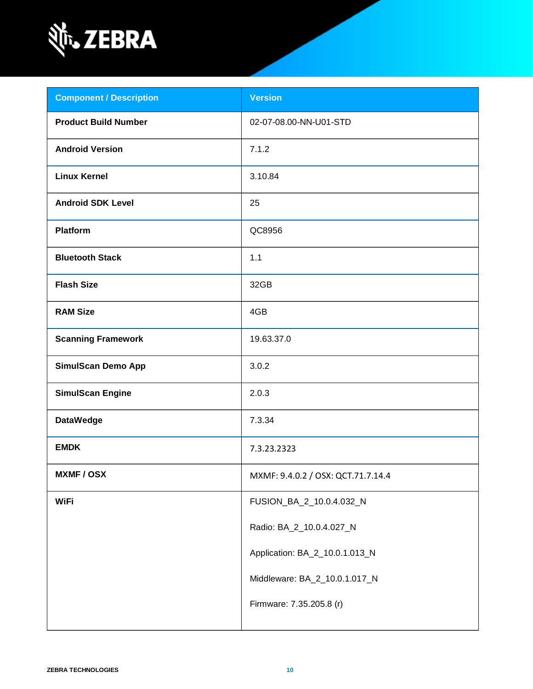

| <b>Component / Description</b> | <b>Version</b>                     |
|--------------------------------|------------------------------------|
| <b>Product Build Number</b>    | 02-07-08.00-NN-U01-STD             |
| <b>Android Version</b>         | 7.1.2                              |
| <b>Linux Kernel</b>            | 3.10.84                            |
| <b>Android SDK Level</b>       | 25                                 |
| <b>Platform</b>                | QC8956                             |
| <b>Bluetooth Stack</b>         | 1.1                                |
| <b>Flash Size</b>              | 32GB                               |
| <b>RAM Size</b>                | 4GB                                |
| <b>Scanning Framework</b>      | 19.63.37.0                         |
| <b>SimulScan Demo App</b>      | 3.0.2                              |
| <b>SimulScan Engine</b>        | 2.0.3                              |
| <b>DataWedge</b>               | 7.3.34                             |
| <b>EMDK</b>                    | 7.3.23.2323                        |
| <b>MXMF/OSX</b>                | MXMF: 9.4.0.2 / OSX: QCT.71.7.14.4 |
| <b>WiFi</b>                    | FUSION_BA_2_10.0.4.032_N           |
|                                | Radio: BA_2_10.0.4.027_N           |
|                                | Application: BA_2_10.0.1.013_N     |
|                                | Middleware: BA_2_10.0.1.017_N      |
|                                | Firmware: 7.35.205.8 (r)           |
|                                |                                    |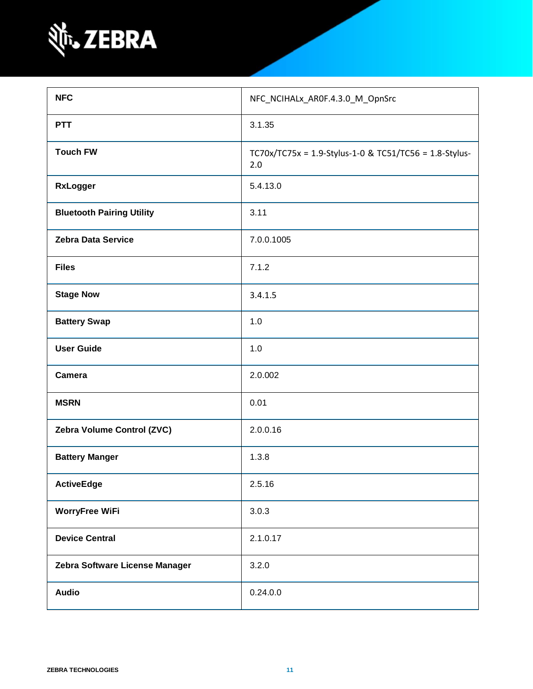

| <b>NFC</b>                       | NFC_NCIHALx_AR0F.4.3.0_M_OpnSrc                               |
|----------------------------------|---------------------------------------------------------------|
| <b>PTT</b>                       | 3.1.35                                                        |
| <b>Touch FW</b>                  | TC70x/TC75x = 1.9-Stylus-1-0 & TC51/TC56 = 1.8-Stylus-<br>2.0 |
| <b>RxLogger</b>                  | 5.4.13.0                                                      |
| <b>Bluetooth Pairing Utility</b> | 3.11                                                          |
| <b>Zebra Data Service</b>        | 7.0.0.1005                                                    |
| <b>Files</b>                     | 7.1.2                                                         |
| <b>Stage Now</b>                 | 3.4.1.5                                                       |
| <b>Battery Swap</b>              | 1.0                                                           |
| <b>User Guide</b>                | 1.0                                                           |
| <b>Camera</b>                    | 2.0.002                                                       |
| <b>MSRN</b>                      | 0.01                                                          |
| Zebra Volume Control (ZVC)       | 2.0.0.16                                                      |
| <b>Battery Manger</b>            | 1.3.8                                                         |
| <b>ActiveEdge</b>                | 2.5.16                                                        |
| <b>WorryFree WiFi</b>            | 3.0.3                                                         |
| <b>Device Central</b>            | 2.1.0.17                                                      |
| Zebra Software License Manager   | 3.2.0                                                         |
| <b>Audio</b>                     | 0.24.0.0                                                      |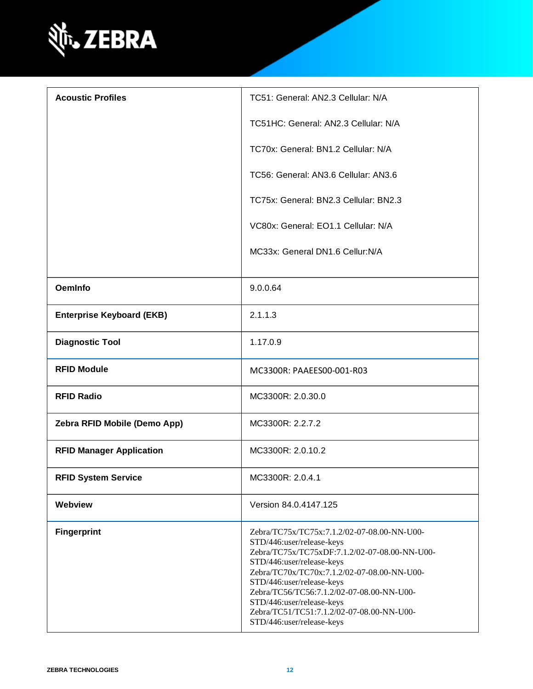

| <b>Acoustic Profiles</b>         | TC51: General: AN2.3 Cellular: N/A                                                                                                                                                                                                                                                                                                                                                     |
|----------------------------------|----------------------------------------------------------------------------------------------------------------------------------------------------------------------------------------------------------------------------------------------------------------------------------------------------------------------------------------------------------------------------------------|
|                                  | TC51HC: General: AN2.3 Cellular: N/A                                                                                                                                                                                                                                                                                                                                                   |
|                                  | TC70x: General: BN1.2 Cellular: N/A                                                                                                                                                                                                                                                                                                                                                    |
|                                  | TC56: General: AN3.6 Cellular: AN3.6                                                                                                                                                                                                                                                                                                                                                   |
|                                  | TC75x: General: BN2.3 Cellular: BN2.3                                                                                                                                                                                                                                                                                                                                                  |
|                                  | VC80x: General: EO1.1 Cellular: N/A                                                                                                                                                                                                                                                                                                                                                    |
|                                  | MC33x: General DN1.6 Cellur:N/A                                                                                                                                                                                                                                                                                                                                                        |
| <b>OemInfo</b>                   | 9.0.0.64                                                                                                                                                                                                                                                                                                                                                                               |
| <b>Enterprise Keyboard (EKB)</b> | 2.1.1.3                                                                                                                                                                                                                                                                                                                                                                                |
| <b>Diagnostic Tool</b>           | 1.17.0.9                                                                                                                                                                                                                                                                                                                                                                               |
| <b>RFID Module</b>               | MC3300R: PAAEES00-001-R03                                                                                                                                                                                                                                                                                                                                                              |
| <b>RFID Radio</b>                | MC3300R: 2.0.30.0                                                                                                                                                                                                                                                                                                                                                                      |
| Zebra RFID Mobile (Demo App)     | MC3300R: 2.2.7.2                                                                                                                                                                                                                                                                                                                                                                       |
| <b>RFID Manager Application</b>  | MC3300R: 2.0.10.2                                                                                                                                                                                                                                                                                                                                                                      |
| <b>RFID System Service</b>       | MC3300R: 2.0.4.1                                                                                                                                                                                                                                                                                                                                                                       |
| Webview                          | Version 84.0.4147.125                                                                                                                                                                                                                                                                                                                                                                  |
| <b>Fingerprint</b>               | Zebra/TC75x/TC75x:7.1.2/02-07-08.00-NN-U00-<br>STD/446:user/release-keys<br>Zebra/TC75x/TC75xDF:7.1.2/02-07-08.00-NN-U00-<br>STD/446:user/release-keys<br>Zebra/TC70x/TC70x:7.1.2/02-07-08.00-NN-U00-<br>STD/446:user/release-keys<br>Zebra/TC56/TC56:7.1.2/02-07-08.00-NN-U00-<br>STD/446:user/release-keys<br>Zebra/TC51/TC51:7.1.2/02-07-08.00-NN-U00-<br>STD/446:user/release-keys |